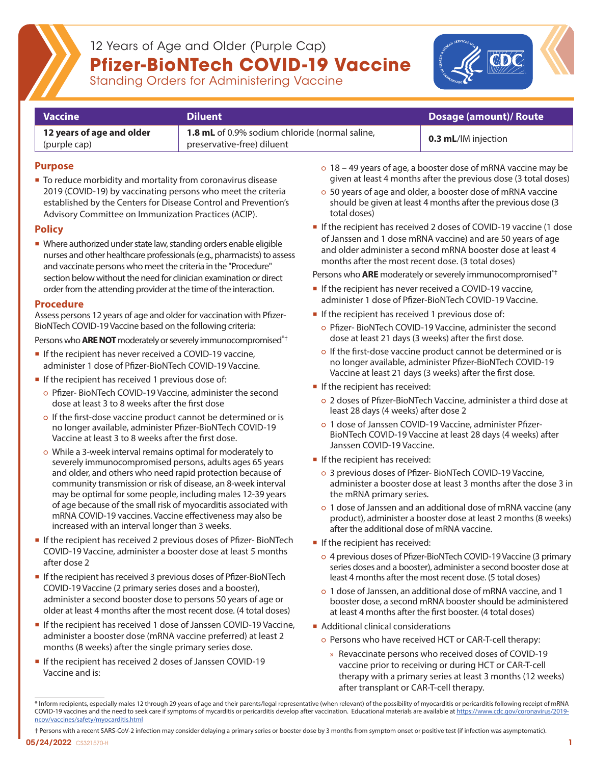

## 12 Years of Age and Older (Purple Cap) **Pfizer-BioNTech COVID-19 Vaccine**



Standing Orders for Administering Vaccine

| <b>Vaccine</b>            | <b>Diluent</b>                                        | Dosage (amount)/ Route     |  |
|---------------------------|-------------------------------------------------------|----------------------------|--|
| 12 years of age and older | <b>1.8 mL</b> of 0.9% sodium chloride (normal saline, | <b>0.3 mL/IM injection</b> |  |
| (purple cap)              | preservative-free) diluent                            |                            |  |

**Purpose**

■ To reduce morbidity and mortality from coronavirus disease 2019 (COVID-19) by vaccinating persons who meet the criteria established by the Centers for Disease Control and Prevention's Advisory Committee on Immunization Practices (ACIP).

### **Policy**

Where authorized under state law, standing orders enable eligible nurses and other healthcare professionals (e.g., pharmacists) to assess and vaccinate persons who meet the criteria in the "Procedure" section below without the need for clinician examination or direct order from the attending provider at the time of the interaction.

#### **Procedure**

Assess persons 12 years of age and older for vaccination with Pfizer-BioNTech COVID-19 Vaccine based on the following criteria:

Persons who **ARE NOT** moderately or severely immunocompromised<sup>\*†</sup>

- **If the recipient has never received a COVID-19 vaccine,** administer 1 dose of Pfizer-BioNTech COVID-19 Vaccine.
- If the recipient has received 1 previous dose of:
	- Pfizer- BioNTech COVID-19 Vaccine, administer the second dose at least 3 to 8 weeks after the first dose
	- If the first-dose vaccine product cannot be determined or is no longer available, administer Pfizer-BioNTech COVID-19 Vaccine at least 3 to 8 weeks after the first dose.
	- While a 3-week interval remains optimal for moderately to severely immunocompromised persons, adults ages 65 years and older, and others who need rapid protection because of community transmission or risk of disease, an 8-week interval may be optimal for some people, including males 12-39 years of age because of the small risk of myocarditis associated with mRNA COVID-19 vaccines. Vaccine effectiveness may also be increased with an interval longer than 3 weeks.
- **If the recipient has received 2 previous doses of Pfizer-BioNTech** COVID-19 Vaccine, administer a booster dose at least 5 months after dose 2
- **If the recipient has received 3 previous doses of Pfizer-BioNTech** COVID-19 Vaccine (2 primary series doses and a booster), administer a second booster dose to persons 50 years of age or older at least 4 months after the most recent dose. (4 total doses)
- If the recipient has received 1 dose of Janssen COVID-19 Vaccine, administer a booster dose (mRNA vaccine preferred) at least 2 months (8 weeks) after the single primary series dose.
- If the recipient has received 2 doses of Janssen COVID-19 Vaccine and is:
- 18 49 years of age, a booster dose of mRNA vaccine may be given at least 4 months after the previous dose (3 total doses)
- 50 years of age and older, a booster dose of mRNA vaccine should be given at least 4 months after the previous dose (3 total doses)
- If the recipient has received 2 doses of COVID-19 vaccine (1 dose of Janssen and 1 dose mRNA vaccine) and are 50 years of age and older administer a second mRNA booster dose at least 4 months after the most recent dose. (3 total doses)

Persons who **ARE** moderately or severely immunocompromised\*†

- **If the recipient has never received a COVID-19 vaccine,** administer 1 dose of Pfizer-BioNTech COVID-19 Vaccine.
- If the recipient has received 1 previous dose of:
	- Pfizer- BioNTech COVID-19 Vaccine, administer the second dose at least 21 days (3 weeks) after the first dose.
	- o If the first-dose vaccine product cannot be determined or is no longer available, administer Pfizer-BioNTech COVID-19 Vaccine at least 21 days (3 weeks) after the first dose.
- If the recipient has received:
	- 2 doses of Pfizer-BioNTech Vaccine, administer a third dose at least 28 days (4 weeks) after dose 2
	- 1 dose of Janssen COVID-19 Vaccine, administer Pfizer-BioNTech COVID-19 Vaccine at least 28 days (4 weeks) after Janssen COVID-19 Vaccine.
- If the recipient has received:
	- 3 previous doses of Pfizer- BioNTech COVID-19 Vaccine, administer a booster dose at least 3 months after the dose 3 in the mRNA primary series.
	- 1 dose of Janssen and an additional dose of mRNA vaccine (any product), administer a booster dose at least 2 months (8 weeks) after the additional dose of mRNA vaccine.
- If the recipient has received:
	- 4 previous doses of Pfizer-BioNTech COVID-19 Vaccine (3 primary series doses and a booster), administer a second booster dose at least 4 months after the most recent dose. (5 total doses)
	- 1 dose of Janssen, an additional dose of mRNA vaccine, and 1 booster dose, a second mRNA booster should be administered at least 4 months after the first booster. (4 total doses)
- **Additional clinical considerations** 
	- Persons who have received HCT or CAR-T-cell therapy:
		- » Revaccinate persons who received doses of COVID-19 vaccine prior to receiving or during HCT or CAR-T-cell therapy with a primary series at least 3 months (12 weeks) after transplant or CAR-T-cell therapy.

СS321570-Н 1996 году в производительность по производительность производительность по производительность по пр<br>Соберение производительность по производительность по производительность по производительность по производител † Persons with a recent SARS-CoV-2 infection may consider delaying a primary series or booster dose by 3 months from symptom onset or positive test (if infection was asymptomatic).

<sup>\*</sup> Inform recipients, especially males 12 through 29 years of age and their parents/legal representative (when relevant) of the possibility of myocarditis or pericarditis following receipt of mRNA COVID-19 vaccines and the need to seek care if symptoms of mycarditis or pericarditis develop after vaccination. Educational materials are available at [https://www.cdc.gov/coronavirus/2019](https://www.cdc.gov/coronavirus/2019-ncov/vaccines/safety/myocarditis.html) [ncov/vaccines/safety/myocarditis.html](https://www.cdc.gov/coronavirus/2019-ncov/vaccines/safety/myocarditis.html)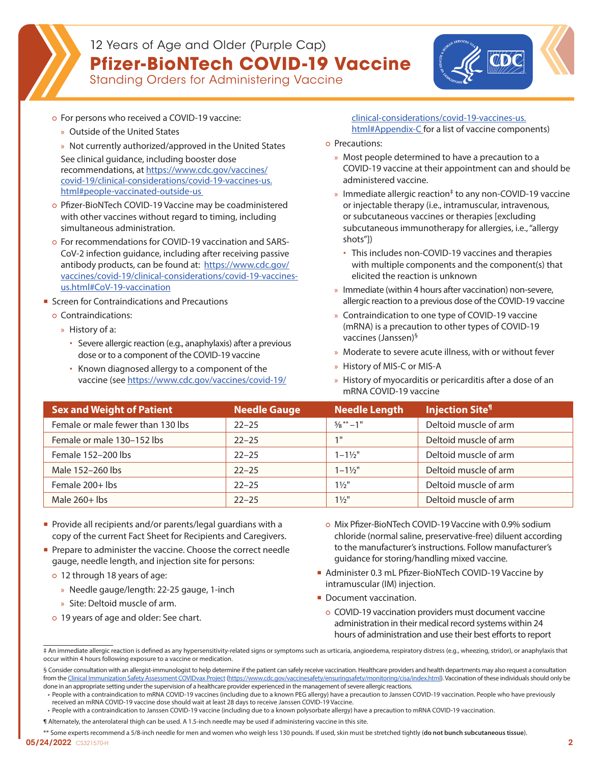

## 12 Years of Age and Older (Purple Cap) **Pfizer-BioNTech COVID-19 Vaccine**

Standing Orders for Administering Vaccine



- o For persons who received a COVID-19 vaccine:
	- » Outside of the United States
	- » Not currently authorized/approved in the United States See clinical guidance, including booster dose recommendations, at [https://www.cdc.gov/vaccines/](https://www.cdc.gov/vaccines/covid-19/clinical-considerations/covid-19-vaccines-us.html#people-vaccinated-outside-us ) [covid-19/clinical-considerations/covid-19-vaccines-us.](https://www.cdc.gov/vaccines/covid-19/clinical-considerations/covid-19-vaccines-us.html#people-vaccinated-outside-us ) [html#people-vaccinated-outside-us](https://www.cdc.gov/vaccines/covid-19/clinical-considerations/covid-19-vaccines-us.html#people-vaccinated-outside-us )
- o Pfizer-BioNTech COVID-19 Vaccine may be coadministered with other vaccines without regard to timing, including simultaneous administration.
- For recommendations for COVID-19 vaccination and SARS-CoV-2 infection guidance, including after receiving passive antibody products, can be found at: [https://www.cdc.gov/](https://www.cdc.gov/vaccines/covid-19/clinical-considerations/covid-19-vaccines-us.html#CoV-19-vaccination) [vaccines/covid-19/clinical-considerations/covid-19-vaccines](https://www.cdc.gov/vaccines/covid-19/clinical-considerations/covid-19-vaccines-us.html#CoV-19-vaccination)[us.html#CoV-19-vaccination](https://www.cdc.gov/vaccines/covid-19/clinical-considerations/covid-19-vaccines-us.html#CoV-19-vaccination)
- Screen for Contraindications and Precautions
- Contraindications:
	- » History of a:
		- Severe allergic reaction (e.g., anaphylaxis) after a previous dose or to a component of the COVID-19 vaccine
		- Known diagnosed allergy to a component of the vaccine (see [https://www.cdc.gov/vaccines/covid-19/](https://www.cdc.gov/vaccines/covid-19/clinical-considerations/covid-19-vaccines-us.html#Appendix-C)

#### [clinical-considerations/covid-19-vaccines-us.](https://www.cdc.gov/vaccines/covid-19/clinical-considerations/covid-19-vaccines-us.html#Appendix-C) [html#Appendix-C for a list of vaccine components](https://www.cdc.gov/vaccines/covid-19/clinical-considerations/covid-19-vaccines-us.html#Appendix-C))

- Precautions:
	- » Most people determined to have a precaution to a COVID-19 vaccine at their appointment can and should be administered vaccine.
	- » Immediate allergic reaction<sup>‡</sup> to any non-COVID-19 vaccine or injectable therapy (i.e., intramuscular, intravenous, or subcutaneous vaccines or therapies [excluding subcutaneous immunotherapy for allergies, i.e., "allergy shots"])
		- This includes non-COVID-19 vaccines and therapies with multiple components and the component(s) that elicited the reaction is unknown
	- » Immediate (within 4 hours after vaccination) non-severe, allergic reaction to a previous dose of the COVID-19 vaccine
	- » Contraindication to one type of COVID-19 vaccine (mRNA) is a precaution to other types of COVID-19 vaccines (Janssen)§
	- » Moderate to severe acute illness, with or without fever
	- » History of MIS-C or MIS-A
	- » History of myocarditis or pericarditis after a dose of an mRNA COVID-19 vaccine

| <b>Sex and Weight of Patient</b>  | <b>Needle Gauge</b> | <b>Needle Length</b>              | <b>Injection Site<sup>1</sup></b> |
|-----------------------------------|---------------------|-----------------------------------|-----------------------------------|
| Female or male fewer than 130 lbs | $22 - 25$           | $\frac{5}{8}$ $\frac{**}{1}$ – 1" | Deltoid muscle of arm             |
| Female or male 130-152 lbs        | $22 - 25$           | $1$ II                            | Deltoid muscle of arm             |
| Female 152-200 lbs                | $22 - 25$           | $1 - 1\frac{1}{2}$                | Deltoid muscle of arm             |
| Male 152-260 lbs                  | $22 - 25$           | $1 - 1\frac{1}{2}$                | Deltoid muscle of arm             |
| Female 200+ lbs                   | $22 - 25$           | $1\frac{1}{2}$ "                  | Deltoid muscle of arm             |
| Male $260+$ lbs                   | $22 - 25$           | $1\frac{1}{2}$ "                  | Deltoid muscle of arm             |

- **Provide all recipients and/or parents/legal guardians with a** copy of the current Fact Sheet for Recipients and Caregivers.
- Prepare to administer the vaccine. Choose the correct needle gauge, needle length, and injection site for persons:
	- 12 through 18 years of age:
		- » Needle gauge/length: 22-25 gauge, 1-inch
		- » Site: Deltoid muscle of arm.
	- 19 years of age and older: See chart.
- Mix Pfizer-BioNTech COVID-19 Vaccine with 0.9% sodium chloride (normal saline, preservative-free) diluent according to the manufacturer's instructions. Follow manufacturer's guidance for storing/handling mixed vaccine.
- Administer 0.3 mL Pfizer-BioNTech COVID-19 Vaccine by intramuscular (IM) injection.
- Document vaccination.
	- COVID-19 vaccination providers must document vaccine administration in their medical record systems within 24 hours of administration and use their best efforts to report

§ Consider consultation with an allergist-immunologist to help determine if the patient can safely receive vaccination. Healthcare providers and health departments may also request a consultation from the [Clinical Immunization Safety Assessment COVIDvax Project](https://www.cdc.gov/vaccinesafety/ensuringsafety/monitoring/cisa/index.html) ([https://www.cdc.gov/vaccinesafety/ensuringsafety/monitoring/cisa/index.html\)](https://www.cdc.gov/vaccinesafety/ensuringsafety/monitoring/cisa/index.html). Vaccination of these individuals should only be done in an appropriate setting under the supervision of a healthcare provider experienced in the management of severe allergic reactions.

<sup>‡</sup> An immediate allergic reaction is defined as any hypersensitivity-related signs or symptoms such as urticaria, angioedema, respiratory distress (e.g., wheezing, stridor), or anaphylaxis that occur within 4 hours following exposure to a vaccine or medication.

<sup>•</sup> People with a contraindication to mRNA COVID-19 vaccines (including due to a known PEG allergy) have a precaution to Janssen COVID-19 vaccination. People who have previously received an mRNA COVID-19 vaccine dose should wait at least 28 days to receive Janssen COVID-19 Vaccine.

<sup>•</sup> People with a contraindication to Janssen COVID-19 vaccine (including due to a known polysorbate allergy) have a precaution to mRNA COVID-19 vaccination.

<sup>¶</sup> Alternately, the anterolateral thigh can be used. A 1.5-inch needle may be used if administering vaccine in this site.

<sup>05/24/2022</sup> СS321570-Н 22 до 2012 года одного представљено на селото се представљено на селото се представљено<br>Постанови се представљено на селото се представљено на селото се представљено на селото се представљено на сел \*\* Some experts recommend a 5/8-inch needle for men and women who weigh less 130 pounds. If used, skin must be stretched tightly (**do not bunch subcutaneous tissue**).